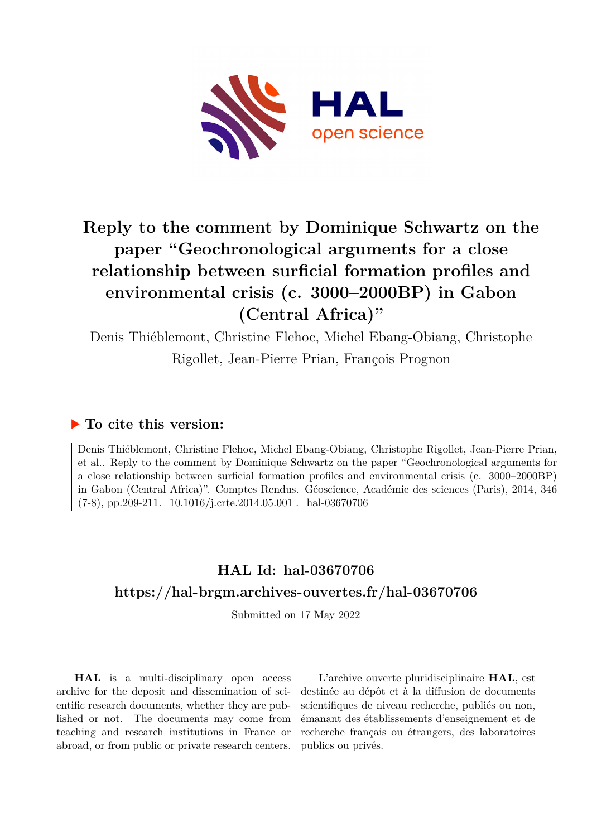

# **Reply to the comment by Dominique Schwartz on the paper "Geochronological arguments for a close relationship between surficial formation profiles and environmental crisis (c. 3000–2000BP) in Gabon (Central Africa)"**

Denis Thiéblemont, Christine Flehoc, Michel Ebang-Obiang, Christophe Rigollet, Jean-Pierre Prian, François Prognon

## **To cite this version:**

Denis Thiéblemont, Christine Flehoc, Michel Ebang-Obiang, Christophe Rigollet, Jean-Pierre Prian, et al.. Reply to the comment by Dominique Schwartz on the paper "Geochronological arguments for a close relationship between surficial formation profiles and environmental crisis (c. 3000–2000BP) in Gabon (Central Africa)". Comptes Rendus. Géoscience, Académie des sciences (Paris), 2014, 346  $(7-8)$ , pp.209-211.  $10.1016/j. crte.2014.05.001$ . hal-03670706

# **HAL Id: hal-03670706 <https://hal-brgm.archives-ouvertes.fr/hal-03670706>**

Submitted on 17 May 2022

**HAL** is a multi-disciplinary open access archive for the deposit and dissemination of scientific research documents, whether they are published or not. The documents may come from teaching and research institutions in France or abroad, or from public or private research centers.

L'archive ouverte pluridisciplinaire **HAL**, est destinée au dépôt et à la diffusion de documents scientifiques de niveau recherche, publiés ou non, émanant des établissements d'enseignement et de recherche français ou étrangers, des laboratoires publics ou privés.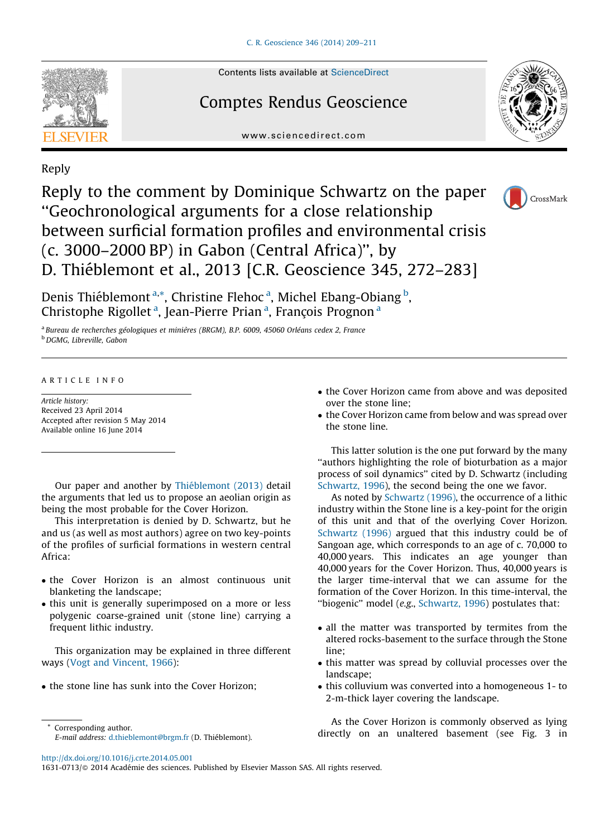

Contents lists available at [ScienceDirect](http://www.sciencedirect.com/science/journal/16310713)

## Comptes Rendus Geoscience



www.sciencedirect.com

### Reply

Reply to the comment by Dominique Schwartz on the paper ''Geochronological arguments for a close relationship between surficial formation profiles and environmental crisis (c. 3000–2000 BP) in Gabon (Central Africa)'', by D. Thiéblemont et al., 2013 [C.R. Geoscience 345, 272–283]



Denis Thiéblemont <sup>a,\*</sup>, Christine Flehoc <sup>a</sup>, Michel Ebang-Obiang <sup>b</sup>, Christophe Rigollet<sup>a</sup>, Jean-Pierre Prian<sup>a</sup>, François Prognon<sup>a</sup>

<sup>a</sup> Bureau de recherches géologiques et minières (BRGM), B.P. 6009, 45060 Orléans cedex 2, France <sup>b</sup> DGMG, Libreville, Gabon

#### A R T I C L E I N F O

Article history: Received 23 April 2014 Accepted after revision 5 May 2014 Available online 16 June 2014

Our paper and another by Thiéblemont (2013) detail the arguments that led us to propose an aeolian origin as being the most probable for the Cover Horizon.

This interpretation is denied by D. Schwartz, but he and us (as well as most authors) agree on two key-points of the profiles of surficial formations in western central Africa:

- the Cover Horizon is an almost continuous unit blanketing the landscape;
- this unit is generally superimposed on a more or less polygenic coarse-grained unit (stone line) carrying a frequent lithic industry.

This organization may be explained in three different ways (Vogt and Vincent, 1966):

• the stone line has sunk into the Cover Horizon;

- the Cover Horizon came from above and was deposited over the stone line;
- the Cover Horizon came from below and was spread over the stone line.

This latter solution is the one put forward by the many ''authors highlighting the role of bioturbation as a major process of soil dynamics'' cited by D. Schwartz (including Schwartz, 1996), the second being the one we favor.

As noted by Schwartz (1996), the occurrence of a lithic industry within the Stone line is a key-point for the origin of this unit and that of the overlying Cover Horizon. Schwartz (1996) argued that this industry could be of Sangoan age, which corresponds to an age of c. 70,000 to 40,000 years. This indicates an age younger than 40,000 years for the Cover Horizon. Thus, 40,000 years is the larger time-interval that we can assume for the formation of the Cover Horizon. In this time-interval, the ''biogenic'' model (e.g., Schwartz, 1996) postulates that:

- all the matter was transported by termites from the altered rocks-basement to the surface through the Stone line;
- this matter was spread by colluvial processes over the landscape;
- this colluvium was converted into a homogeneous 1- to 2-m-thick layer covering the landscape.

As the Cover Horizon is commonly observed as lying directly on an unaltered basement (see Fig. 3 in

<http://dx.doi.org/10.1016/j.crte.2014.05.001>

<sup>\*</sup> Corresponding author. E-mail address: [d.thieblemont@brgm.fr](mailto:d.thieblemont@brgm.fr) (D. Thiéblemont).

<sup>1631-0713/@ 2014</sup> Académie des sciences. Published by Elsevier Masson SAS. All rights reserved.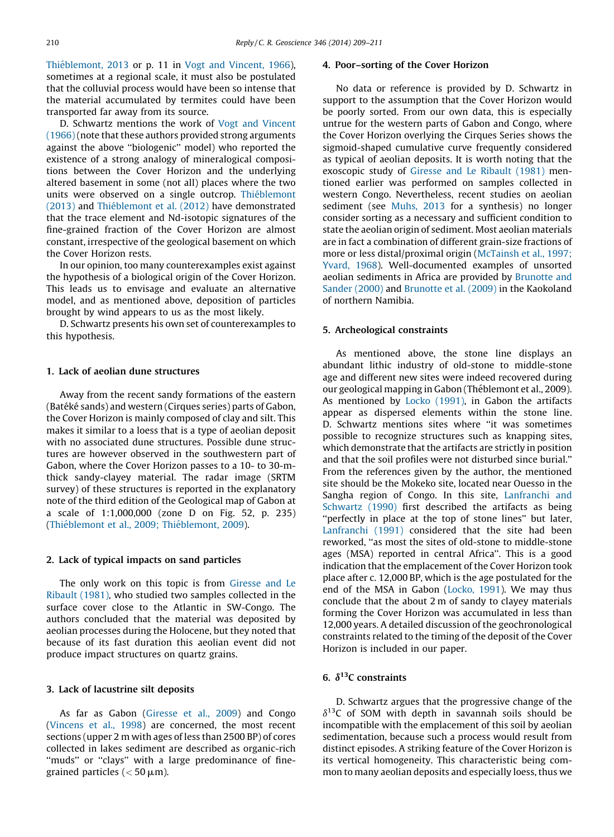Thiéblemont, 2013 or p. 11 in Vogt and Vincent, 1966), sometimes at a regional scale, it must also be postulated that the colluvial process would have been so intense that the material accumulated by termites could have been transported far away from its source.

D. Schwartz mentions the work of Vogt and Vincent (1966)(note that these authors provided strong arguments against the above ''biologenic'' model) who reported the existence of a strong analogy of mineralogical compositions between the Cover Horizon and the underlying altered basement in some (not all) places where the two units were observed on a single outcrop. Thiéblemont (2013) and Thiéblemont et al. (2012) have demonstrated that the trace element and Nd-isotopic signatures of the fine-grained fraction of the Cover Horizon are almost constant, irrespective of the geological basement on which the Cover Horizon rests.

In our opinion, too many counterexamples exist against the hypothesis of a biological origin of the Cover Horizon. This leads us to envisage and evaluate an alternative model, and as mentioned above, deposition of particles brought by wind appears to us as the most likely.

D. Schwartz presents his own set of counterexamples to this hypothesis.

#### 1. Lack of aeolian dune structures

Away from the recent sandy formations of the eastern (Batéké sands) and western (Cirques series) parts of Gabon, the Cover Horizon is mainly composed of clay and silt. This makes it similar to a loess that is a type of aeolian deposit with no associated dune structures. Possible dune structures are however observed in the southwestern part of Gabon, where the Cover Horizon passes to a 10- to 30-mthick sandy-clayey material. The radar image (SRTM survey) of these structures is reported in the explanatory note of the third edition of the Geological map of Gabon at a scale of 1:1,000,000 (zone D on Fig. 52, p. 235) (Thiéblemont et al., 2009; Thiéblemont, 2009).

#### 2. Lack of typical impacts on sand particles

The only work on this topic is from Giresse and Le Ribault (1981), who studied two samples collected in the surface cover close to the Atlantic in SW-Congo. The authors concluded that the material was deposited by aeolian processes during the Holocene, but they noted that because of its fast duration this aeolian event did not produce impact structures on quartz grains.

#### 3. Lack of lacustrine silt deposits

As far as Gabon (Giresse et al., 2009) and Congo (Vincens et al., 1998) are concerned, the most recent sections (upper 2 m with ages of less than 2500 BP) of cores collected in lakes sediment are described as organic-rich ''muds'' or ''clays'' with a large predominance of finegrained particles ( $<$  50  $\mu$ m).

#### 4. Poor–sorting of the Cover Horizon

No data or reference is provided by D. Schwartz in support to the assumption that the Cover Horizon would be poorly sorted. From our own data, this is especially untrue for the western parts of Gabon and Congo, where the Cover Horizon overlying the Cirques Series shows the sigmoid-shaped cumulative curve frequently considered as typical of aeolian deposits. It is worth noting that the exoscopic study of Giresse and Le Ribault (1981) mentioned earlier was performed on samples collected in western Congo. Nevertheless, recent studies on aeolian sediment (see Muhs, 2013 for a synthesis) no longer consider sorting as a necessary and sufficient condition to state the aeolian origin of sediment. Most aeolian materials are in fact a combination of different grain-size fractions of more or less distal/proximal origin (McTainsh et al., 1997; Yvard, 1968). Well-documented examples of unsorted aeolian sediments in Africa are provided by Brunotte and Sander (2000) and Brunotte et al. (2009) in the Kaokoland of northern Namibia.

#### 5. Archeological constraints

As mentioned above, the stone line displays an abundant lithic industry of old-stone to middle-stone age and different new sites were indeed recovered during our geological mapping in Gabon (Théblemont et al., 2009). As mentioned by Locko (1991), in Gabon the artifacts appear as dispersed elements within the stone line. D. Schwartz mentions sites where ''it was sometimes possible to recognize structures such as knapping sites, which demonstrate that the artifacts are strictly in position and that the soil profiles were not disturbed since burial.'' From the references given by the author, the mentioned site should be the Mokeko site, located near Ouesso in the Sangha region of Congo. In this site, Lanfranchi and Schwartz (1990) first described the artifacts as being ''perfectly in place at the top of stone lines'' but later, Lanfranchi (1991) considered that the site had been reworked, ''as most the sites of old-stone to middle-stone ages (MSA) reported in central Africa''. This is a good indication that the emplacement of the Cover Horizon took place after c. 12,000 BP, which is the age postulated for the end of the MSA in Gabon (Locko, 1991). We may thus conclude that the about 2 m of sandy to clayey materials forming the Cover Horizon was accumulated in less than 12,000 years. A detailed discussion of the geochronological constraints related to the timing of the deposit of the Cover Horizon is included in our paper.

### 6.  $\delta^{13}$ C constraints

D. Schwartz argues that the progressive change of the  $\delta^{13}$ C of SOM with depth in savannah soils should be incompatible with the emplacement of this soil by aeolian sedimentation, because such a process would result from distinct episodes. A striking feature of the Cover Horizon is its vertical homogeneity. This characteristic being common to many aeolian deposits and especially loess, thus we